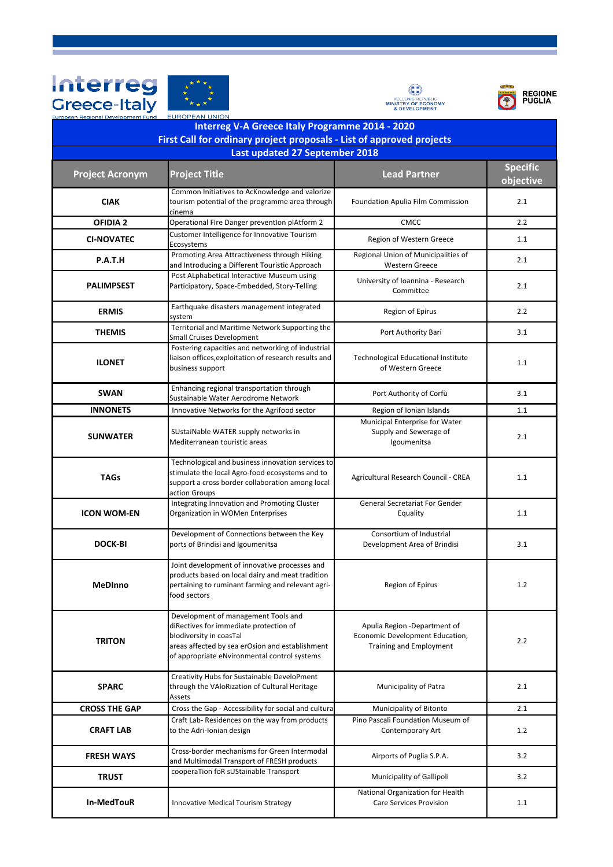







| <b>Interreg V-A Greece Italy Programme 2014 - 2020</b>                                                  |                                                                                                                                                                                                             |                                                                                            |                 |  |  |
|---------------------------------------------------------------------------------------------------------|-------------------------------------------------------------------------------------------------------------------------------------------------------------------------------------------------------------|--------------------------------------------------------------------------------------------|-----------------|--|--|
| First Call for ordinary project proposals - List of approved projects<br>Last updated 27 September 2018 |                                                                                                                                                                                                             |                                                                                            |                 |  |  |
|                                                                                                         |                                                                                                                                                                                                             |                                                                                            | <b>Specific</b> |  |  |
| <b>Project Acronym</b>                                                                                  | <b>Project Title</b>                                                                                                                                                                                        | <b>Lead Partner</b>                                                                        | objective       |  |  |
| <b>CIAK</b>                                                                                             | Common Initiatives to AcKnowledge and valorize<br>tourism potential of the programme area through<br>cinema                                                                                                 | Foundation Apulia Film Commission                                                          | 2.1             |  |  |
| <b>OFIDIA 2</b>                                                                                         | Operational FIre Danger prevention plAtform 2                                                                                                                                                               | CMCC                                                                                       | 2.2             |  |  |
| <b>CI-NOVATEC</b>                                                                                       | Customer Intelligence for Innovative Tourism<br>Ecosystems                                                                                                                                                  | Region of Western Greece                                                                   | 1.1             |  |  |
| P.A.T.H                                                                                                 | Promoting Area Attractiveness through Hiking<br>and Introducing a Different Touristic Approach                                                                                                              | Regional Union of Municipalities of<br>Western Greece                                      | 2.1             |  |  |
| <b>PALIMPSEST</b>                                                                                       | Post ALphabetical Interactive Museum using<br>Participatory, Space-Embedded, Story-Telling                                                                                                                  | University of Ioannina - Research<br>Committee                                             | 2.1             |  |  |
| <b>ERMIS</b>                                                                                            | Earthquake disasters management integrated<br>system                                                                                                                                                        | Region of Epirus                                                                           | 2.2             |  |  |
| <b>THEMIS</b>                                                                                           | Territorial and Maritime Network Supporting the<br>Small Cruises Development                                                                                                                                | Port Authority Bari                                                                        | 3.1             |  |  |
| <b>ILONET</b>                                                                                           | Fostering capacities and networking of industrial<br>liaison offices, exploitation of research results and<br>business support                                                                              | <b>Technological Educational Institute</b><br>of Western Greece                            | 1.1             |  |  |
| <b>SWAN</b>                                                                                             | Enhancing regional transportation through<br>Sustainable Water Aerodrome Network                                                                                                                            | Port Authority of Corfù                                                                    | 3.1             |  |  |
| <b>INNONETS</b>                                                                                         | Innovative Networks for the Agrifood sector                                                                                                                                                                 | Region of Ionian Islands                                                                   | 1.1             |  |  |
| <b>SUNWATER</b>                                                                                         | SUstaiNable WATER supply networks in<br>Mediterranean touristic areas                                                                                                                                       | Municipal Enterprise for Water<br>Supply and Sewerage of<br>Igoumenitsa                    | 2.1             |  |  |
| <b>TAGs</b>                                                                                             | Technological and business innovation services to<br>stimulate the local Agro-food ecosystems and to<br>support a cross border collaboration among local<br>action Groups                                   | Agricultural Research Council - CREA                                                       | 1.1             |  |  |
| <b>ICON WOM-EN</b>                                                                                      | Integrating Innovation and Promoting Cluster<br>Organization in WOMen Enterprises                                                                                                                           | <b>General Secretariat For Gender</b><br>Equality                                          | 1.1             |  |  |
| <b>DOCK-BI</b>                                                                                          | Development of Connections between the Key<br>ports of Brindisi and Igoumenitsa                                                                                                                             | Consortium of Industrial<br>Development Area of Brindisi                                   | 3.1             |  |  |
| MeDInno                                                                                                 | Joint development of innovative processes and<br>products based on local dairy and meat tradition<br>pertaining to ruminant farming and relevant agri-<br>food sectors                                      | Region of Epirus                                                                           | 1.2             |  |  |
| <b>TRITON</b>                                                                                           | Development of management Tools and<br>diRectives for immediate protection of<br>blodiversity in coasTal<br>areas affected by sea erOsion and establishment<br>of appropriate eNvironmental control systems | Apulia Region -Department of<br>Economic Development Education,<br>Training and Employment | 2.2             |  |  |
| <b>SPARC</b>                                                                                            | Creativity Hubs for Sustainable DeveloPment<br>through the VAloRization of Cultural Heritage<br>Assets                                                                                                      | Municipality of Patra                                                                      | 2.1             |  |  |
| <b>CROSS THE GAP</b>                                                                                    | Cross the Gap - Accessibility for social and cultura                                                                                                                                                        | Municipality of Bitonto                                                                    | 2.1             |  |  |
| <b>CRAFT LAB</b>                                                                                        | Craft Lab-Residences on the way from products<br>to the Adri-Ionian design                                                                                                                                  | Pino Pascali Foundation Museum of<br>Contemporary Art                                      | 1.2             |  |  |
| FRESH WAYS                                                                                              | Cross-border mechanisms for Green Intermodal<br>and Multimodal Transport of FRESH products                                                                                                                  | Airports of Puglia S.P.A.                                                                  | 3.2             |  |  |
| <b>TRUST</b>                                                                                            | cooperaTion foR sUStainable Transport                                                                                                                                                                       | Municipality of Gallipoli                                                                  | 3.2             |  |  |
| In-MedTouR                                                                                              | <b>Innovative Medical Tourism Strategy</b>                                                                                                                                                                  | National Organization for Health<br><b>Care Services Provision</b>                         | 1.1             |  |  |